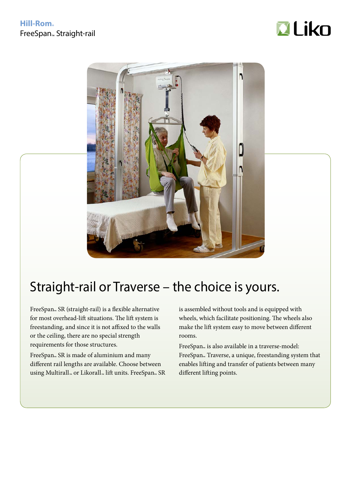



## Straight-rail or Traverse – the choice is yours.

FreeSpan<sub>™</sub> SR (straight-rail) is a flexible alternative for most overhead-lift situations. The lift system is freestanding, and since it is not affixed to the walls or the ceiling, there are no special strength requirements for those structures.

FreeSpan<sub>™</sub> SR is made of aluminium and many different rail lengths are available. Choose between using Multirall™ or Likorall™ lift units. FreeSpan™ SR is assembled without tools and is equipped with wheels, which facilitate positioning. The wheels also make the lift system easy to move between different rooms.

FreeSpan<sub>™</sub> is also available in a traverse-model: FreeSpan<sub>™</sub> Traverse, a unique, freestanding system that enables lifting and transfer of patients between many different lifting points.